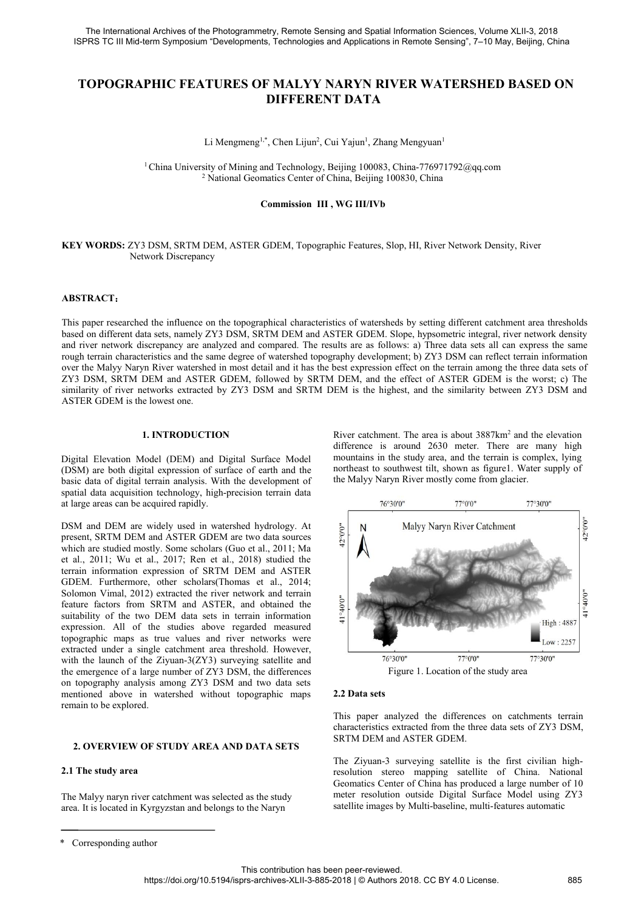# The International Archives of the Photogrammetry, Remote Sensing and Spatial Information Sciences, Volume XLII-3, 2018<br>SPRS TC III Mid-term Symposium "Developments, Technologies and Applications in Remote Sensing", 7–10 Ma try, Remote Sensing and Spatial Information Sciences, Volume XLII-3, 2018<br><sup>5,</sup> Technologies and Applications in Remote Sensing", 7–10 May, Beijing, Ch<br>**F MALYY NARYN RIVER WATERSHED BASED (**<br>**DIFFERENT DATA**<br><sup>1</sup>, Chen Liju e Photogrammetry, Remote Sensing and Spatial Information Section<br>1 "Developments, Technologies and Applications in Remote Set<br> **TURES OF MALYY NARYN RIVER WAT<br>
DIFFERENT DATA**<br>
Li Mengmeng<sup>1,\*</sup>, Chen Lijun<sup>2</sup>, Cui Yajun<sup>1</sup> ensing and Spatial Information Sciences, Vols<br>
s and Applications in Remote Sensing", 7–10<br>
T **NARYN RIVER WATERSHE**<br>
ENT DATA<br>
, Cui Yajun<sup>1</sup>, Zhang Mengyuan<sup>1</sup><br>
<sub>V,</sub> Beijing 100083, China-776971792@qq.co<br>
of China, Beiji Spatial Information Sciences, Volume XLII-3, 201<br>ations in Remote Sensing", 7–10 May, Beijing, C<br>N**RIVER WATERSHED BASED**<br>T**A**<br>, Zhang Mengyuan<sup>1</sup><br>0083, China-776971792@qq.com<br>jing 100830, China 1China University of Mining and Technologies and Applications in Remote Sensing", 7–10 May, Beijing, China<br>
1China University of MALYY NARYN RIVER WATERSHED BASED ON<br>
1China University of Mining and Technology, Beijing 100 2 National Geomatics Center of China, Beijing 100830, China, TURES OF MALYY NARYN RIVER WATERSHED BASED ON<br>
DIFFERENT DATA<br>
Li Mengmeng<sup>1,\*</sup>, Chen Lijun<sup>2</sup>, Cui Yajun<sup>1</sup>, Zhang Mengyuan<sup>1</sup><br>
Sity of Mining and Technology, B **F MALYY NARYN RIVER WATERSHED**<br> **DIFFERENT DATA**<br>
<sup>1,\*</sup>, Chen Lijun<sup>2</sup>, Cui Yajun<sup>1</sup>, Zhang Mengyuan<sup>1</sup><br>
and Technology, Beijing 100083, China-776971792@qq.com<br>
matics Center of China, Beijing 100830, China<br> **Commission I**

# **KEY WORDS:** ZY3 DSM, SRTM DEM, ASTER GDEM, Topographic Features, Slop, HI, River Network Density, River Network Discrepancy Li Mengmeng<sup>1,\*</sup>, Chen Lijun<sup>1</sup><br><sup>1</sup> China University of Mining and Technolog<sup>2</sup> National Geomatics Center of<br>**Commission**<br>ZY3 DSM, SRTM DEM, ASTER GDEM, Topo<sub>1</sub><br>Network Discrepancy

# **ABSTRACT**:

ABSTRACT:<br>
This paper researched the influence on the topographical characteristics of watersheds by setting different catchment area thresholds<br>
ABSTRACT:<br>
This paper researched the influence on the topographical characte **EXEL WORDS:** ZY3 DSM, SRTM DEM, ASTER GDEM, Topographic Features, Slop, HI, River Network Density, River<br>
Network Discrepancy<br> **ABSTRACT:**<br>
This paper researched the influence on the topographical characteristics of water **EXEL WORDS: ZY3 DSM, SRTM DEM, ASTER GDEM, Topographic Features, Slop, HI, River Network Density, River<br>
Network Discrepancy<br>
ABSTRACT:<br>
This paper researched the influence on the topographical characteristics of watershe REY WORDS:** ZY3 DSM, SRTM DEM, ASTER GDEM, Topographic Features, Slop, HI, River Network Density, River<br>Network Discrepancy<br>**ABSTRACT:**<br>This paper researched the influence on the topographical characteristics of watershed **ABSTRACT:**<br> **CONDITY:** Network Discrepancy<br>
Network Discrepancy<br>
Network Discrepancy<br>
This paper researched the influence on the topographical characteristics of watersheds by setting different catchment area thresholds<br> **XEY WORDS:** ZY3 DSM, SRTM DEM, ASTER GDEM, Topographic Features, Slop, HI, River Network Density, River<br>
Network Discrepancy<br>
ABSTRACT:<br>
This paper researched the influence on the topographical characteristics of watershe SETRACT:<br>
Similarity of river network Discrepancy<br>
Network Discrepancy<br>
Network Discrepancy<br>
This paper researched the influence on the topographical characteristics of watersheds by setting different catchment area thresh NET ANDENTIFY INTERT ALL INTERCT:<br>
This paper researched the influence on the topographical characteri<br>
based on different data sets, namely ZY3 DSM, SRTM DEM and A<br>
and river network discrepancy are analyzed and compared. 1. **1. INTRODUCTION**<br>
1. **INTER SET ASSEM SET ASSEM SET ASSEM SET ASSEM SET ASSEM SET ASSEMBLY AND EM and ASTER G<br>
1. <b>EXECUTE ASSEM ASSEM SET ASSEM SET ASSEM AND EVALUATE ASSEM AND SET AND HOM** ASTER GDEM, followed by SRT This paper researched the influence on the topographical characteristics of watersheds by settinus<br>
based on different data sets, namely ZY3 DSM, SRTM DEM and ASTER GDEM. Slope, hypset<br>
and river network discrepancy are an Fins paper researched on immediate on the lopes paper and accelusions of waterstates on weather and the star and paper and river network discrepancy are analyzed and compared. The results are as follows: a) Three rough te basic data of digital terrain analysis. With the development of<br>basic data of the Malyy Naryn River watershed in most detail and it has the best expression effect on the term<br>for the Malyy Naryn River watershed in most de spatial data acquisition technology, high-precision terrain data active and DEM are widely used in watershed hydrology. At<br>spatial data acquisition technology, SRTM DEM and ASTER GDEM, followed by SRTM DEM, and the effect tics of watersheds by setting different catchment area thresholds<br>TER GDEM. Slope, hypsometric integral, river network density<br>ults are as follows: a) Three data sets all can express the same<br>raphy development; b) ZY3 DSM tics of watersheds by setting different catchment area thresholds<br>iTER GDEM. Slope, hypsometric integral, river network density<br>ults are as follows: a) Three data sets all can express the same<br>raphy development; b) ZY3 DSM tics of watersheds by setting different catchment area thresholds<br>TER GDEM. Slope, hypsometric integral, river network density<br>ults are as follows: a) Three data sets all can express the same<br>raphy development; b) ZY3 DSM northeast of watersheas by setting dirierent catchment area thresholds<br>TIER GDEM. Slope, hypsometric integral, river network density<br>ults are as follows: a) Three data sets all can express the same<br>raphy development; b) Z TER GIJEM. Slope, hypsometric integral, tiver network density<br>that are as follows: a) Three data sets all can express the same<br>traphy development; b) ZY3 DSM can reflect terrain information<br>best expression effect on the t

From Characteristics and the same degree of watershed in that dependent and the development of the Malyy Naryn River watershed in most detail and it has the NY3 DSM, SRTM DEM and ASTER GDEM, followed by SRTM ASTER GDEM is Example 1. INTRODUCTION<br>
Similarity of river networks extracted by ZY3 DSM and SRTM DEM is the highest, and the si<br>
ASTER GDEM is the lowest one.<br>
1. INTRODUCTION River catchment. The area is difference is around 2630<br>
Di

**EXECTER GDEM** is the lowest one.<br> **1. INTRODUCTION** River catchment. The are difference is around 2<br>
Digital Elevation Model (DEM) and Digital Surface Model inountains in the study a<br>
(DSM) are both digital expression of **1. INTRODUCTION**<br> **1. INTRODUCTION**<br> **1. INTRODUCTION**<br> **1. INTRODUCTION**<br> **1. INTRODUCTION**<br> **1. INTRODUCTION**<br> **1. INTRODUCTION**<br> **1. INTRODUCTION**<br> **1. INTRODUCTION**<br> **1. INTRODUCTION**<br> **1. INTRODUCTION**<br> **1. EXALNE Example 1. INTRODUCTION**<br>
Digital Elevation Model (DEM) and Digital Surface Model<br>
(DSM) are both digital expression of surface of earth and the study area,<br>
(DSM) are both digital expression of surface of earth and the n **1. INTRODUCTION** River catchment. The are difference is around 2.<br>
(DSM) are both digital expression of surface of earth and the mountains in the study at<br>
hosic data of digital terrain analysis. With the development of Digital Elevation Model (DEM) and Digital Surface Model<br>
(DSM) are both digital expression of surface of earth and the<br>
mountains in the study are<br>
(DSM) are both digital expression of surface of earth and the<br>
spatial da Digital Elevation Model (DEM) and Digital Surface Model<br>
(DSM) are both digital expression of surface of earth and the<br>
mountains in the study are<br>
basic data of digital terrain analysis. With the development of<br>
spatial d DJEM Erevation Model (DEWI) and Digital surface Model (DEWI) and be the state of digital expression of surface of earth and the northeast to southwest tilt, shasic data of digital etrain analysis. With the development of (DSM) are both digital terrain analysis. With the development of the Malyy Naryn Riv basic data of digital terrain analysis. With the development of the Malyy Naryn Riv spatial data acquisition technology, high-precision basic data of digital terrain analysis. With the development of the Malyy Natyl Reversion and a<br>starting areas can be acquired rapidly.<br>
DSM and DEM are widely used in watershed hydrology. At<br>
present, SRTM DEM and ASTER spatial data acquisition technology, ingn-piectsion teriant data<br>
at large areas can be acquired rapidly.<br>
DSM and DEM are widely used in watershed hydrology. At<br>
present, SRTM DEM and ASTER GDEM are two data sources<br>
whi at large areas can be acquired rapidly.<br>
DSM and DEM are widely used in watershed hydrology. At<br>
present, SRTM DEM and ASTER GDEM are two data sources<br>
which are studied mostly. Some scholars (Guo et al., 2011; Ma<br>
et al. DSM and DEM are widely used in watershed hydrology. At present, SRTM DEM and ASTER GDEM are two data sources<br>which are studied mostly. Some scholars (Guo et al., 2011; Ma<br>et al., 2011; Wu et al., 2017; Ren et al., 2018) s DSM and DEM are widely used in watershed nydrology. At a solution the two data solution with the rest of the and ASTER GDEM are two data solution times which are studied mostly. Some scholars (Guo et al., 2011; Ma<br>et al., present, SKIM DEM and ASIEK ODEM are two data sources<br>
which are studied mostly. Some scholars (Guo et al., 2011; Ma<br>
et al., 2011; Wu et al., 2017; Ren et al., 2018) studied the<br>
terrain information expression of SRTM DE where sudued mostly. Some schoolars (Guo et al., 2017; Man et al., 2017; Man et al., 2018) studied the<br>terrain information expression of SRTM DEM and ASTER<br>GDEM. Furthermore, other scholars (Thomas et al., 2014;<br>Solomon Vi et al., 2011; wu et al., 2017; Ken et al., 2018)<br>terrain information expression of SRTM DEM a<br>GDEM. Furthermore, other scholars(Thomas et<br>Solomon Vimal, 2012) extracted the river network<br>feature factors from SRTM and ASTER ture factors from SRTM and ASTER, and obtained the<br>
tability of the two DEM data sets in terrain information<br>
ographic maps as true values above regarded measured<br>
ographic maps as true values and river networks were<br>
ract expression. All of the studies above regarded<br>topographic maps as true values and river netwo<br>extracted under a single catchment area threshold.<br>with the launch of the Ziyuan-3(ZY3) surveying sa<br>the emergence of a large nu Exercise the Malyy days and the state of the Naryn and Selection and the School and the emergence of a large number of ZY3 DSM, the differences on topography analysis among ZY3 DSM and two data sets<br>mentioned above in wate when the matter of the European of the emergence of a large number of ZY3 DSM, the differences<br>on topography analysis among ZY3 DSM and two data sets<br>mentioned above in watershed without topographic maps<br>mentioned above i

2. OVERVIEW OF STUDY AREA AND DATA SI<br>2.1 The study area<br>3. The Study area<br>3.1 The study area<br>3.1 The Study area<br>3.1 The Study area<br>3.1 The Malyy naryn river catchment was selected as the studies<br>3.1 This located in Kyrgyz



 $\frac{1}{76°300°}$   $\frac{77°00°}{77°300°}$   $\frac{77°30°}{77°30°}$  Figure 1. Location of the study area<br>2.2 Data sets<br>This paper analyzed the differences on catchments terrain<br>characteristics extracted from the three data sets of Z  $\frac{1}{76°300''}$   $\frac{1}{77°00''}$   $\frac{1}{77°00''}$   $\frac{1}{77°300''}$ <br>
Pigure 1. Location of the study area<br>
2.2 Data sets<br>
This paper analyzed the differences on catchments terrain<br>
characteristics extracted from the three data Satellite is the study area<br>Satellite images by Higure 1. Location of the study area<br>This paper analyzed the differences on catchments terrain<br>characteristics extracted from the three data sets of ZY3 DSM,<br>SRTM DEM and AST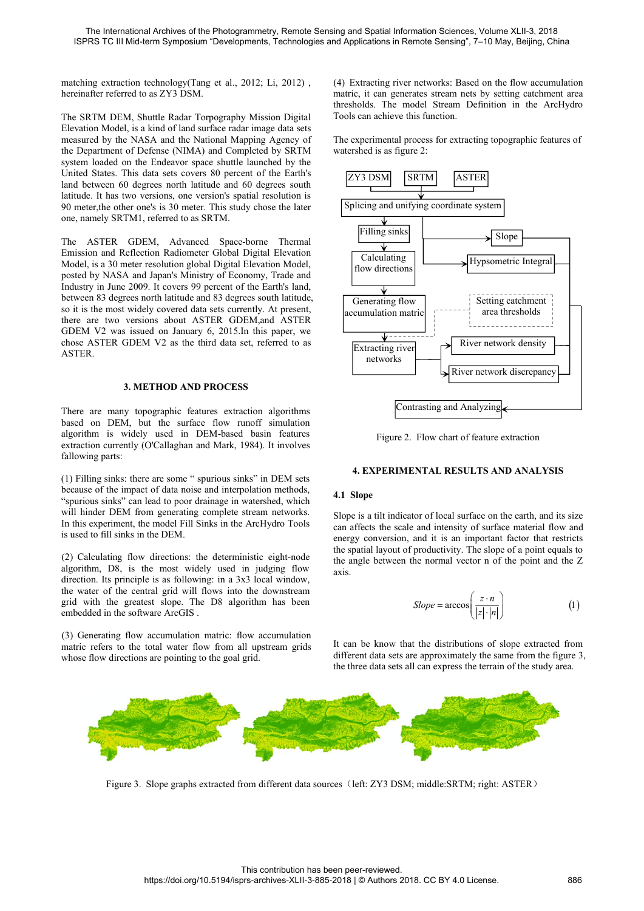The International Archives of the Photogrammetry, Remote Sens<br>ISPRS TC III Mid-term Symposium "Developments, Technologies a<br>matching extraction technology(Tang et al., 2012; Li, 2012),<br>hereinafter referred to as ZY3 DSM.<br>T The International Archives of the Photogrammetry, Remote Sensing and Spatial Information<br>
ISPRS TC III Mid-term Symposium "Developments, Technologies and Applications in Remote<br>
matching extraction technology(Tang et al., The International Archives of the Photogrammetry, Remote Sensing and Spatial Information Sc<br>
ISPRS TC III Mid-term Symposium "Developments, Technologies and Applications in Remote Ser<br>
matching extraction technology(Tang e The International Archives of the Photogrammetry, Remote Sensing and Spatial Information Science ISPRS TC III Mid-term Symposium "Developments, Technologies and Applications in Remote Sense<br>
matching extraction technology( The International Archives of the Photogrammetry, Remote Sensing and Spatial Information Sciences<br>
ISPRS TC III Mid-term Symposium "Developments, Technologies and Applications in Remote Sensing", 7<br>
matching extraction te The International Archives of the Photogrammetry, Remote Sensing and Spatial Information Sci<br>
SISPRS TC III Mid-term Symposium "Developments, Technologies and Applications in Remote Sen<br>
matching extraction technology(Tang The International Archives of the Photogrammetry, Remote Sensing and Spatial Information<br>
ISPRS TC III Mid-term Symposium "Developments, Technologies and Applications in Remote 3<br>
Internation technology (Tang et al., 2012; **ISPRS TC III Mid-term Symposium "Developments, Technologies and Applications in Remote Si<br>
matching extraction technology(Tang et al., 2012; Li, 2012), (4) Extracting river networ<br>
hereinafter referred to as ZY3 DSM.<br>
Th** matching extraction technology(Tang et al., 2012; Li, 2012), (4) Extracting river networks:<br>
hereinafter referred to as ZY3 DSM.<br>
The SRTM DEM, Shuttle Radar Torpography Mission Digital<br>
Elevation Model, is a kind of land matching extraction technology(Tang et al., 2012; Li, 2012),<br>
Mercinafter referred to as ZY3 DSM.<br>
The SRTM DEM, Shuttle Radar Torpography Mission Digital<br>
The SRTM DEM, Shuttle Radar Torpography Mission Digital<br>
Elevatio matching extraction technology(Tang et al., 2012; Li, 2012), (4) I<br>hereinafter referred to as ZY3 DSM. The same three street of as ZY3 DSM.<br>The SRTM DEM, Shuttle Radar Torpography Mission Digital Tool:<br>Elevation Model, is mesholds. The model is a kind of land strip basis of the sholds. The model<br>Elevation Model, is a kind of land surface radar image data sets<br>measured by the NASA and the National Mapping Agency of<br>the Department of Definese The SRTM DEM, Shuttle Radar Torpography Mission Digital<br>
Elevation Model, is a kind of land surface radar image data sets<br>
measured by the NASA and the National Mapping Agency of<br>
the Department of Defense (NIMA) and Compl The ASTIFR GDEM, Advanced Space-borne Thermal<br>
Elevation Model, is a kind of land surface radar image data sets<br>
measured by the NASA and the National Mapping Agency of The experimental process<br>
unterstanded on the Endeavo Envantation collars, is a same of and state and image data sets controlled by the NASA and the National Mapping Agency of The experimental process for<br>the Department of Defense (NIMA) and Completed by SRTM watershed is as

In Experimental or the Varian interval or the Chemical or the Chemical process in<br>the Department of Defense (NIMA) and Completed by SRTM watershed is as figure 2:<br>system loaded on the Endeavor space shuttle launched by th Experiment of Decisions (View of State Course) Solid and Detection of Decisions and Reflection Radiometer Global Digital Elevation is<br>
The ASTER GDEM, Advanced Space-borne Thermal<br>
Emission and Reflection Radiometer Global Solution to the Eurea and the most widely overed since the most of the Earth's<br>
United States. This data sets covers 80 percent of the Earth's<br>
land between 60 degrees north latitude and 60 degrees south<br>
latitude. It has EXTRIGNET CONCORRECT THE SIGNAL CONDUCTS SURFAINTING CONDUCTS OF THE ASTER GDEM, Advanced Space-borne Thermal<br>
Emission and Reflection Radiometer Global Digital Elevation is<br>
The ASTER GDEM, Advanced Space-borne Thermal<br>
E Fact the Computer of the Earth's land of the Computer and the Computer of the MSTER GDEM, Advanced Space-borne Thermal<br>
Emission and Reflection Radiometer Global Digital Elevation is<br>
The ASTER GDEM, Advanced Space-borne T and the method and the third data set, referred to as<br>
and method as SRTM.<br>
The ASTER GDEM, Advanced Space-borne Thermal<br>
Emission and Reflection Radiometer Global Digital Elevation<br>
Model, is a 30 meter resolution global **ASTER** GDEM, Advanced Space-borne Inermal<br>
deflection Radiometer Global Digital Elevation<br>
meter resolution global Digital Elevation Model,<br>
A and Japan's Ministry of Economy, Trade and<br>
2009. It covers 99 percent of the Earth's Fraction and Solution and Mark, 1984). It involves<br>
There are move posted by NASA and Japan's Ministry of Economy, Trade and<br>
Industry in June 2009. It covers 99 percent of the Earth's land,<br>
between 83 degrees north latit based on DEM, but the surface flow runoff simulation<br>algorithm is widely used in DEM-based on January 6, 2015.<br>In this paper, we<br>consequently. At present,<br>there are two versions about ASTER GDEM,<br>and ASTER<br>consequently. At between 83 degrees north latitude and 83 degrees south latitude,<br>so it is the most widely covered data sets currently. At present,<br>there are two versions about ASTER GDEM, and ASTER<br>GDEM V2 was issued on January 6, 2015. I Extraction currently (O'Callaghan and Mark, 1984). It involves<br>
there are two versions about ASTER GDEM, and ASTER<br>
GDEM V2 was issued on January 6, 2015.In this paper, we<br>
chose ASTER.<br> **3. METHOD AND PROCESS**<br>
There are

So it is the most wheely covered data sets carrent<br>there are two versions about ASTER GDEN<br>GDEM V2 was issued on January 6, 2015. In<br>chose ASTER GDEM V2 as the third data set,<br>ASTER.<br>**3. METHOD AND PROCESS**<br>There are many (1) Filling sinks: there are some " spurious sinks" in DEM sets and end of the spurious sinks: "<br>
There are many topographic features extraction algorithms<br>
based on DEM, but the surface flow runoff simulation<br>
algorithm

Extracting river<br> **BECAUSE AND AND PROCESS**<br> **BECAUSE AND PROCESS**<br> **BECAUSE AND PROCESS**<br> **BECAUSE AND PROCESS**<br> **BECAUSE AND PROCESS**<br> **BECAUSE AND PROCESS**<br> **EXECUTES**<br> **EXECUTES**<br> **EXECUTES**<br> **EXECUTES**<br> **EXECUTES**<br> **E** The state of the many top of the spurious sinks of the ArcHydro Tools<br>
There are many topographic features extraction algorithms<br>
In the surface flow rundf simulation<br>
algorithm is widely used in DEM-based basin features<br> 3. **METHOD AND PROCESS**<br>
There are many topographic features extraction algorithms<br>
based on DEM, but the surface flow runoff simulation<br>
algorithm is widely used in DEM-based basin features<br>
extraction currently (O'Callag 3. **METHOD AND PROCESS**<br>
There are many topographic features extraction algorithms<br>
based on DEM, but the surface flow runoff simulation<br>
algorithm is widely used in DEM-based basin features<br>
Figure 2. Flow<br>
extraction cur **S. METHOD ATD TROCESS**<br>There are many topographic features extraction algorithms<br>based on DEM, but the surface flow runoff simulation<br>algorithm is widely used in DEM-based basin features<br>extraction currently (O'Callaghan There are many lopetapinc reatures extraction argomination<br>algorithm is widely used in DEM-based basin features<br>extraction currently (O'Callaghan and Mark, 1984). It involves<br>fallowing parts:<br>(1) Filling sinks: there are s algorithm is widely used in DEM-based basin features<br>algorithm is widely used in DEM-based basin features<br>extraction currently (O'Callaghan and Mark, 1984). It involves<br>fallowing parts:<br>(1) Filling sinks: there are some "s

direction. Its widely used in DEM-based basin leatures<br>extraction currently (O'Callaghan and Mark, 1984). It involves<br>fallowing parts:<br>(1) Filling sinks: there are some "spurious sinks" in DEM sets<br>because of the impact of Extraction currently (O Canaghan and Mark, 1984). It involves<br>
(1) Filling sinks: there are some "spurious sinks" in DEM sets<br>
the cenause of the impact of data noise and interpolation methods,<br>
"spurious sinks" can lead (1) Filling sinks: there are some " spurious sinks" in DEM sets<br>
because of the impact of data noise and interpolation methods,<br>
"spurious sinks" can lead to poor drainage in watershed, which<br>
will hinder DEM from generat (1) Filling sinks: there are some " spurious sinks" in DEM sets<br>because of the impact of data noise and interpolation methods,<br>"spurious sinks" can lead to poor drainage in watershed, which<br>will hinder DEM from generating because of the impact of data noise and interpolation methods,<br>
"Spurious sinks" can lead to poor drainage in watershed, which<br>
"will hinder DEM from generating complete stream networks.<br>
In this experiment, the model Fill spursos smarted to poor drange in watershed, which<br>
will hinder DEM from generality complete stream networks.<br>
In this experiment, the model Fill Sinks in the ArcHydro Tools<br>
in this experiment, the model Fill Sinks in th Whi findier DEM from generating complete stream networks. Slope is a tilt in this experiment, the model Fill Sinks in the ArcHydro Tools can affects the energy converses is used to fill sinks in the DEM.<br>
is used to fill s

ing and Spatial Information Sciences, Volume XLII-3, 2018<br>
Ind Applications in Remote Sensing", 7–10 May, Beijing, China<br>
(4) Extracting river networks: Based on the flow accumulation<br>
matric, it can generates stream nets ing and Spatial Information Sciences, Volume XLII-3, 2018<br>nd Applications in Remote Sensing", 7–10 May, Beijing, China<br>(4) Extracting river networks: Based on the flow accumulation<br>matric, it can generates stream nets by s ing and Spatial Information Sciences, Volume XLII-3, 2018<br>
Applications in Remote Sensing", 7–10 May, Beijing, China<br>
(4) Extracting river networks: Based on the flow accumulation<br>
matric, it can generates stream nets by s ing and Spatial Information Sciences, Volume XLII-3, 2018<br>nd Applications in Remote Sensing", 7–10 May, Beijing, China<br>(4) Extracting river networks: Based on the flow accumulati<br>matric, it can generates stream nets by set ing and Spatial Information Sciences, Volume XLII-3, 2018<br>
Applications in Remote Sensing", 7–10 May, Beijing, China<br>
(4) Extracting river networks: Based on the flow accumulation<br>
matric, it can generates stream nets by s ing and Spatial Information Sciences, Volume XLII-3, 2018<br>
Applications in Remote Sensing", 7–10 May, Beijing, China<br>
(4) Extracting river networks: Based on the flow accumulat<br>
matric, it can generates stream nets by sett



**Contrasting and Analyzing<br>
Figure 2. Flow chart of feature extraction<br>
4. EXPERIMENTAL RESULTS AND ANALYSIS<br>
4.1 Slope<br>
Slope is a tilt indicator of local surface on the earth, and its size<br>
can affects the scale and inte Example 18 Contrasting and Analyzing**<br>
Figure 2. Flow chart of feature extraction<br> **4. EXPERIMENTAL RESULTS AND ANALYSIS**<br> **4.1 Slope**<br>
Slope is a tilt indicator of local surface on the earth, and its size<br>
can affects th **Example 18 Contrasting and Analyzing**<br>
Figure 2. Flow chart of feature extraction<br> **4. EXPERIMENTAL RESULTS AND ANALYSIS**<br> **4.1 Slope**<br>
Slope is a tilt indicator of local surface on the earth, and its size<br>
can affects t **EXPERIMENTAL RESULTS AND ANALYSIS**<br>**4. EXPERIMENTAL RESULTS AND ANALYSIS**<br>**4.1 Slope**<br>**5.1** Slope is a tilt indicator of local surface on the earth, and its size<br>can affects the scale and intensity of surface material fl axis. *z*<br>*z* **<b>***z*<br>*z*<br>*z*<br>*z*<br>*z*<br>*z*<br>*z*<br>*z*<br>*z*<br>*z*<br>*z*<br>*z*<br>*z*<br>*z*<br>*z*<br>*z***</del>**<br>*z*<br>*z***</del><br><b>***z*<br>*z*<br>*z*<br>*z*<br>*z*<br>*z***<br><b>***z*<br>*z*<br>*z*<br>*z*<br>*z***<br><b>***z*<br>*z*<br>*z*<br>*z*<br>*z***<br><b>** *z n* Slope is a tilt indicator of local surface on the earth, and its size<br>can affects the scale and intensity of surface material flow and<br>energy conversion, and it is an important factor that restricts<br>the spatial layout of Slope is a tilt indicator of local surface on the earth, and its size<br>can affects the scale and intensity of surface material flow and<br>energy conversion, and it is an important factor that restricts<br>the spatial layout of can affects the scale and intensity of surface material flow and<br>energy conversion, and it is an important factor that restricts<br>the spatial layout of productivity. The slope of a point equals to<br>the angle between the nor

Slope = 
$$
\arccos\left(\frac{z \cdot n}{|z| \cdot |n|}\right)
$$
 (1)

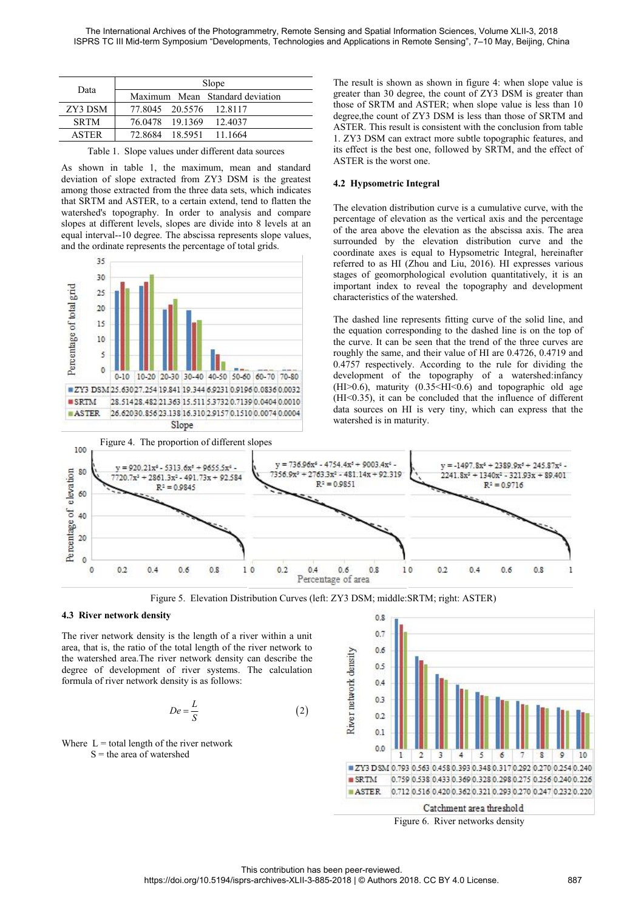|              | The International Archives of the Photogrammetry, Remote Sensing and Spatial Informatio<br>ISPRS TC III Mid-term Symposium "Developments, Technologies and Applications in Remote              |                                                         |
|--------------|------------------------------------------------------------------------------------------------------------------------------------------------------------------------------------------------|---------------------------------------------------------|
|              | Slope                                                                                                                                                                                          | The result is shown as sl                               |
| Data         | Maximum<br>Standard deviation<br>Mean                                                                                                                                                          | greater than 30 degree, t                               |
| ZY3 DSM      | 77.8045<br>20.5576<br>12.8117                                                                                                                                                                  | those of SRTM and AST                                   |
| <b>SRTM</b>  | 76.0478<br>19.1369<br>12.4037                                                                                                                                                                  | degree, the count of ZY3<br>ASTER. This result is co.   |
| <b>ASTER</b> | 72.8684<br>18.5951<br>11.1664                                                                                                                                                                  | 1. ZY3 DSM can extract                                  |
|              | Table 1. Slope values under different data sources<br>As shown in table 1, the maximum, mean and standard                                                                                      | its effect is the best one.<br>ASTER is the worst one.  |
|              | deviation of slope extracted from ZY3 DSM is the greatest<br>among those extracted from the three data sets, which indicates                                                                   | 4.2 Hypsometric Integr                                  |
|              | that SRTM and ASTER, to a certain extend, tend to flatten the<br>watershed's topography. In order to analysis and compare<br>slopes at different levels, slopes are divide into 8 levels at an | The elevation distribution<br>percentage of elevation a |

and The result is shown as the Values and Maximum Mean Standard deviation<br>
Maximum Mean Standard deviation<br>
Siope The result is shown as the sets of SRTM and AS<br>
SRTM 76.0478 19.1369 12.4037<br>
ASTER 72.8684 18.5951 11.1664<br> Data Maximum Mean Standard deviation<br>
2Y3 DSM 77.8045 20.5576 12.8117<br>
SRTM 76.0478 19.1369 12.4037<br>
SRTM 76.0478 19.1369 12.4037<br>
ASTER 72.8684 18.5951 11.1664<br>
ASTER This result is consist<br>
ASTER 72.8684 18.5951 11.1664<br> Data Maximum Mean Slope<br>
Maximum Mean Standard deviation<br>
T7.8045 20.5576 12.8117<br>
SRTM 76.0478 19.1369 12.4037<br>
ASTER 72.8684 18.5951 11.1664<br>
ASTER. This result is compared to accept<br>
ASTER of a select is the best one<br>
A Blope<br>
22 30 DSM 77.8045 20.5576 12.8117<br>
22 30 DSM 77.8045 20.576 12.8117<br>
12.8117<br>
12.812 111.1664 12.8117<br>
12.8684 18.5951 11.1664 12.8117<br>
12.8684 18.5951 11.1664 12.8117<br>
12.8684 18.5951 11.1664 12.812 12.812 12.812 1 Data Maximum Mean Standard deviation<br>
Example 20.5576 12.8117<br>
SRTM 76.0478 19.1369 12.4037<br>
ASTER 72.8684 18.5951 11.1664<br>
ASTER 72.8684 18.5951 11.1664<br>
ASTER Table 1. Slope values under different data sources<br>
As shown **EXECUTE CONFIDENT CONFIDENT CONFIDENT CONFIDENT CONFIDENT CONFIDENT CONFIDENT CONFIDENT CONFIDENT CONFIDENT CONFIDENT CONFIDENT CONFIDENT CONFIDENT CONFIDENT CONFIDENT CONFIDENT CONFIDENT CONFIDENT CONFIDENT CONFIDENT CON** 



ing and Spatial Information Sciences, Volume XLII-3, 2018<br>
and Applications in Remote Sensing", 7–10 May, Beijing, China<br>
The result is shown as shown in figure 4: when slope value is<br>
greater than 30 degree, the count of ing and Spatial Information Sciences, Volume XLII-3, 2018<br>nd Applications in Remote Sensing", 7–10 May, Beijing, China<br>The result is shown as shown in figure 4: when slope value is<br>greater than 30 degree, the count of ZY3 ing and Spatial Information Sciences, Volume XLII-3, 2018<br>
Ad Applications in Remote Sensing", 7–10 May, Beijing, China<br>
The result is shown as shown in figure 4: when slope value is<br>
greater than 30 degree, the count of Z ing and Spatial Information Sciences, Volume XLII-3, 2018<br>nd Applications in Remote Sensing", 7–10 May, Beijing, China<br>The result is shown as shown in figure 4: when slope value is<br>greater than 30 degree, the count of ZY3 ing and Spatial Information Sciences, Volume XLII-3, 2018<br>
Ad Applications in Remote Sensing", 7–10 May, Beijing, China<br>
The result is shown as shown in figure 4: when slope value is<br>
greater than 30 degree, the count of Z ing and Spatial Information Sciences, Volume XLII-3, 2018<br>
Ad Applications in Remote Sensing", 7–10 May, Beijing, China<br>
The result is shown as shown in figure 4: when slope value is<br>
greater than 30 degree, the count of Z ing and Spatial Information Sciences, Volume XLII-3, 2018<br>
Ind Applications in Remote Sensing", 7–10 May, Beijing, China<br>
In The result is shown as shown in figure 4: when slope value is<br>
greater than 30 degree, the count ing and Spatial Information Sciences, Volume XLII-3, 2018<br>
Ad Applications in Remote Sensing", 7–10 May, Beijing, Chin<br>
The result is shown as shown in figure 4: when slope val<br>
greater than 30 degree, the count of ZY3 DSM nd Applications in Remote Sensing", 7–10 May, Beijing, Ch<br>The result is shown as shown in figure 4: when slope v<br>greater than 30 degree, the count of ZY3 DSM is great<br>those of SRTM and ASTER; when slope value is less th<br>de The result is shown as shown in figure 4: when slope value is<br>greater than 30 degree, the count of ZY3 DSM is greater than<br>those of SRTM and ASTER; when slope value is less than 10<br>degree, the count of ZY3 DSM is less than The result is shown as shown in figure 4: when slope value is<br>greater than 30 degree, the count of ZY3 DSM is greater than<br>those of SRTM and ASTER; when slope value is less than 10<br>degree, the count of ZY3 DSM is less than Free than 30 degree, the count of ZY3 DSM is greater than 30 degree, the count of ZY3 DSM is greater than<br>those of SRTM and ASTER; when slope value is less than 10<br>degree, the count of ZY3 DSM is less than those of SRTM an

given that so wegive, the count of  $\Sigma_1$  bowit is given the digree, the count of ZY3 DSM is less than those of SRTM and ASTER; when slope value is less than 10 degree, the count of ZY3 DSM is less than those of SRTM and designet and the strip and the stripger where a reason and the designet the count of ZY3 DSM is less than those of SRTM and ASTER. This result is consistent with the conclusion from table 1. ZY3 DSM can extract more subtle EXERENT CONDITERT THIS FORD INTO A MASTER. This result is consistent with the coolusion from table 1. ZY3 DSM can extract more subtle topographic features, and its effect is the best one, followed by SRTM, and the effect o STER: FIN SCRIM and Extraction with the conclusion from the CA LTZ3 DSM can extract more subtle topographic features, and<br>its effect is the best one, followed by SRTM, and the effect of<br>ASTER is the worst one.<br>4.2 Hypsomet its effect is the best one, followed by SRTM, and the effect of<br>
ASTER is the worst one.<br>
4.2 Hypsometric Integral<br>
The elevation distribution curve is a cumulative curve, with the<br>
percentage of elevation as the vertical **ASTER** is the vost one, holowed by SKTH, and the enter-<br>ASTER is the worst one.<br>**4.2 Hypsometric Integral**<br>The elevation distribution curve is a cumulative curve, with<br>percentage of elevation as the vertical axis and the **4.2 Hypsometric Integral**<br>The elevation distribution curve is a cumulative curve, with the<br>percentage of elevation as the vertical axis and the percentage<br>of the area above the elevation as the abscissa axis. The area<br>su The elevation distribution curve is a cumulative curve, with the percentage of elevation as the vertical axis and the percentage of the area above the elevation as the abscissa axis. The area surrounded by the elevation d The elevation distribution curve is a cumulative curve, with the percentage of elevation as the vertical axis and the percentage of the area above the elevation as the abscissa axis. The area surrounded by the elevation d The elevation distribution curve is a cumulative curve, with the precentage of the area above the elevation as the abscissa axis. The area surrounded by the elevation distribution curve and the coordinate axes is equal to

percentage of elevation as the vertical axis and the percentage<br>of the area above the elevation as the abscissa axis. The area<br>surrounded by the elevation distribution curve and the<br>coordinate axes is equal to Hypsometric of the area above the elevation as the abscissa axis. The area surounded by the elevation distribution curve and the coordinate axes is equal to Hypsometric Integral, hereinafter referred to as HI (Zhou and Liu, 2016). HI surrounded by the elevation distribution curve and the coordinate axes is equal to Hypsometric Integral, hereinafter referred to as HI (Zhou and Liu, 2016). HI expresses various stages of geomorphological evolution quanti coordinate axes is equal to Hypsonientic imegral, internaties<br>referred to as HI (Zhou and Liu, 2016). HI expresses various<br>stages of geomorphological evolution quantitatively, it is an<br>important index to reveal the topogr referred to as FII (Zhou and Lut, 2016). FII expresses various<br>stages of geomorphological evolution quantitatively, it is an<br>important index to reveal the topography and development<br>characteristics of the watershed.<br>The da stages of geomorphological evolution quantitatively<br>important index to reveal the topography and dev<br>characteristics of the watershed.<br>The dashed line represents fitting curve of the solid<br>the equation corresponding to th



**Figure 5. Elevation Distribution Curves (left: ZY31)<br>
<b>A.3 River network density**<br>
The river network density is the length of a river within a unit<br>
area, that is, the ratio of the total length of the river network to<br>
t For network density<br>
ser network density is the length of a river within a u<br>
at is, the ratio of the total length of the river network<br>
ershed area. The river network density can describe<br>
of development of river systems

$$
De = \frac{L}{S} \tag{2}
$$

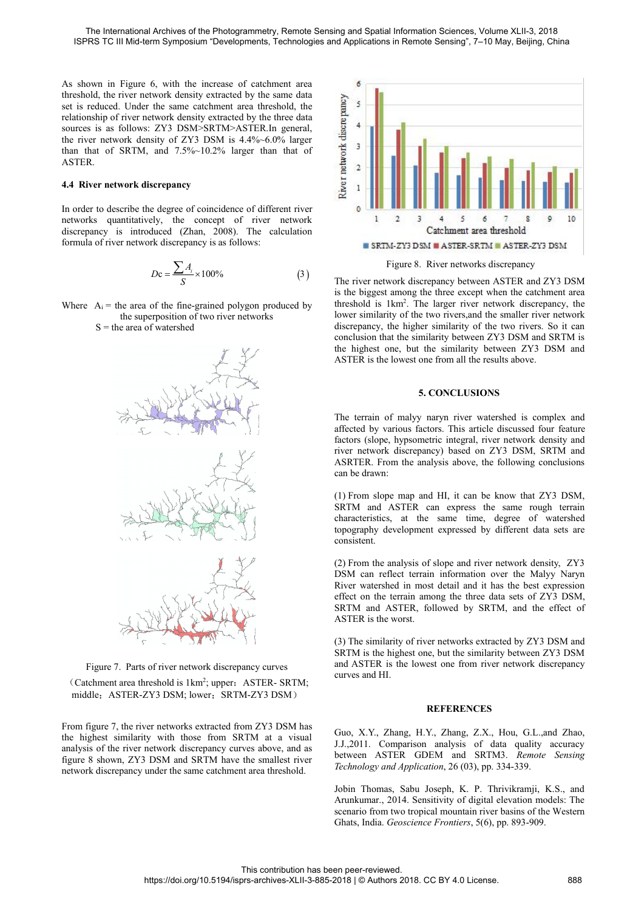The International Archives of the Photogrammetry, Remote Sensing and Spatial Information Sc<br>
ISPRS TC III Mid-term Symposium "Developments, Technologies and Applications in Remote Ser<br>
As shown in Figure 6, with the increa The International Archives of the Photogrammetry, Remote Sensing and Spatial Information Sc<br>
ISPRS TC III Mid-term Symposium "Developments, Technologies and Applications in Remote Ser<br>
As shown in Figure 6, with the increa The International Archives of the Photogrammetry, Remote Sensing and Spatial Information Sci<br>
ISPRS TC III Mid-term Symposium "Developments, Technologies and Applications in Remote Sens<br>
As shown in Figure 6, with the incr The International Archives of the Photogrammetry, Remote Sensing and Spatial Information Sc<br>
ISPRS TC III Mid-term Symposium "Developments, Technologies and Applications in Remote Ser<br>
As shown in Figure 6, with the increa The International Archives of the Photogrammetry, Remote Sensing and Spatial Informatio<br>
ISPRS TC III Mid-term Symposium "Developments, Technologies and Applications in Remote<br>
As shown in Figure 6, with the increase of ca The International Archives of the Photogrammetry, Remote Sensing and Spatial Information ISPRS TC III Mid-term Symposium "Developments, Technologies and Applications in Remote S<br>As shown in Figure 6, with the increase of c The International Archives of the Photogrammetry, Remote Sensing and Spatial Information Science ISPRS TC III Mid-term Symposium "Developments, Technologies and Applications in Remote Sensing<br>As shown in Figure 6, with the ASTER. **4.4 River network discrepancy**<br>
In order the concept of mixed and the conception<br>
14.4 River network density extracted by the same<br>
set is reduced. Under the same catchment area threshold<br>
relationship of river network de As shown in Figure 6, with the increase of catchment area<br>threshold, the river network density extracted by the same data<br>set is reduced. Under the same catchment area threshold, the<br>relationship of river network density The shown in Figure 0, which we increase of catalisation discrepancy<br>
The calculationship of river network density extracted by the same data<br>
set is reduced. Under the same catchment area threshold, the<br>
relationship of Exercise to reduced. Under the same catchment area threshold, the<br>
relationship of river network density extracted by the three data<br>
sources is as follows: ZY3 DSM>SRTM>ASTER.In general,<br>
the river network density of ZY3

**EVALUATE SURFE 2018**<br>
Fig. 1 and the degree of coincidence of different river<br>
oribe the degree of coincidence of different river<br>
introduced (Zhan, 2008). The calculation<br>
r network discrepancy is as follows:<br>  $Dc = \frac{\sum A$ For network discrepancy<br>to describe the degree of coincidence of different rive<br>s quantitatively, the concept of river networ<br>ncy is introduced (Zhan, 2008). The calculatio<br>of river network discrepancy is as follows:<br> $Dc =$ 

$$
Dc = \frac{\sum A_i}{S} \times 100\%
$$
 (3) The river r



From figure 7, the river network extracted from 2Y3 DSM has<br>the riginal methanics of the river network discrepancy curves<br>and ASTER is the worst.<br>(2) The similarity of river network discrepancy curves<br>and ASTER is the lowe effect on the terrain amon<br>
SRTM and ASTER, folk<br>
ASTER, folk<br>
ASTER, folk<br>
ASTER is the worst.<br>
(3) The similarity of river<br>
Figure 7. Parts of river network discrepancy curves<br>
(Catchment area threshold is 1km<sup>2</sup>; upper: SRTM and ASTER, followed<br>
ASTER is the worst.<br>
(3) The similarity of river network<br>
SRTM is the highest one, but<br>
tigure 7. Parts of river network discrepancy curves<br>
(Catchment area threshold is 1km<sup>2</sup>; upper: ASTER- SRTM ASTER is the worst.<br>
(3) The similarity of river net<br>
SRTM is the highest one, but the smallest river network discrepancy curves<br>
(Catchment area threshold is 1km<sup>2</sup>; upper: ASTER-SRTM;<br>
middle: ASTER-ZY3 DSM; lower: SRTM-(3) The similarity of<br>
SRTM is the highest<br>
Figure 7. Parts of river network discrepancy curves<br>
and ASTER is the lo<br>
(Catchment area threshold is 1km<sup>2</sup>; upper: ASTER-SRTM;<br>
uniddle: ASTER-ZY3 DSM; lower: SRTM-ZY3 DSM has



CONCLUSION THE SIGN ASTER SETM THAT THE SIGN OF THE SIGN OF THE THE SETM-ZY3 DSM Figure 8. River networks discrepancy<br>The river network discrepancy between ASTER and ZY3 DSM<br>is the biggest among the three except when the **EXECUTE: THE REFORE THE REFORE THE SIGNAL STER-SRIM ESTIM-EXECUTE SETM-ZY3 DSM** Figure 8. River networks discrepancy<br>
The river network discrepancy between ASTER and ZY3 DSM<br>
is the biggest among the three except when 1 2 3 4 5 6 7 8 9 10<br>
Catchment area threshold<br>
SRTM-ZY3 DSM ASTER-SRTM ASTER-ZY3 DSM<br>
Figure 8. River networks discrepancy<br>
The river network discrepancy between ASTER and ZY3 DSM<br>
is the biggest among the three except wh **EXECUTE ASSERVATE ASSERVATE ASSERVATE**<br> **5. CONCLUSIONS**<br> **5. CONCLUSIONS**<br> **5. CONCLUSIONS**<br> **5. CONCLUSIONS**<br> **5. CONCLUSIONS**<br> **5. CONCLUSIONS**<br> **5. CONCLUSIONS**<br> **5. CONCLUSIONS**<br> **5. CONCLUSIONS**<br> **5. CONCLUSIONS**<br> The river network discrepancy between ASTER and ZY3 DSM<br>is the biggest among the three except when the catchment area<br>threshold is 1km<sup>2</sup>. The larger river network discrepancy, the<br>lower similarity of the two rivers,<br>and t In the threat incomparison of the beingest among the three except when the catchment area<br>threshold is 1 km<sup>2</sup>. The larger river network discrepancy, the<br>lower similarity of the two rivers, and the smaller river network<br>di In the signal and the correct when the concernent area.<br>
threshold is 1 km<sup>2</sup>. The larger river network discrepancy, the<br>
lower similarity of the two rivers, and the smaller river network<br>
discrepancy, the higher similari

riversion is rain. The ranger fiver incursive, the two rivers in the smaller river network discrepancy, the higher similarity of the two rivers. So it can conclusion that the similarity between ZY3 DSM and SRTM is the high Example 1. The two rives, and the Solution of the Solution of Solution discrepancy, the higher similarity between ZY3 DSM and SRTM is the highest one, but the similarity between ZY3 DSM and ASTER is the lowest one from all discrepancy, the inglier similarity of the two<br>conclusion that the similarity between ZY3 L<br>the highest one, but the similarity between<br>ASTER is the lowest one from all the results a<br>5. CONCLUSIONS<br>The terrain of malyy nar (1) From slope map and HI, it can be know that ZY3 DSM, and ASTER is the lowest one from all the results above.<br>
5. CONCLUSIONS<br>
The terrain of malyy naryn river watershed is complex and<br>
affected by various factors. This SRTM is the lowest one non-tin the results above.<br>
S. CONCLUSIONS<br>
The terrain of malyy naryn river watershed is complex and<br>
affected by various factors. This article discussed four feature<br>
river network discrepancy) bas 5. CONCLUSIONS<br>The terrain of malyy naryn river watershed is complex and<br>affected by various factors. This article discussed four feature<br>factors (slope, hypsometric integral, river network density and<br>atsRTER. From the an 5. CONCLUSIONS<br>The terrain of malyy naryn river watershed is complex and<br>affected by various factors. This article discussed four feature<br>factors (slope, hypsometric integral, river network density and<br>river network discre The terrain of maryy naryn fiver watershed is complex and<br>frected by various factors. This article discussed four feature<br>factors (slope, hypsometric integral, river network density and<br>river network discrepancy) based on

consistent.

attected by various tactors. This article discussed four leature<br>factors (slope, hypsometric integral, river network density and<br>river network discrepancy) based on ZY3 DSM, SRTM and<br>ASRTER. From the analysis above, the fo river network discrepancy) based on ZY3 DSM, SRTM and river network discrepancy) based on ZY3 DSM, SRTM and ASRTER. From the analysis above, the following conclusions can be drawn:<br>(1) From slope map and HI, it can be know Free network discrepancy) oased on ZT3 DSM, SKTM and<br>ASRTER. From the analysis above, the following conclusions<br>can be drawn:<br>(1) From slope map and HI, it can be know that ZY3 DSM,<br>SRTM and ASTER can express the same roug ASKTER. From the analysis above, the following conclusions<br>can be drawn:<br>(1) From slope map and HI, it can be know that ZY3 DSM,<br>SRTM and ASTER can express the same rough terrain<br>characteristics, at the same time, degree o (1) From slope map and HI, it can be know that 2<br>SRTM and ASTER can express the same rou<br>characteristics, at the same time, degree of<br>topography development expressed by different da<br>consistent.<br>(2) From the analysis of sl (1) From stope map and FH, it can be know that 2.13 DSM, SRTM and ASTER can express the same rough terrain characteristics, at the same time, degree of watershed topography development expressed by different data sets are SRTM and ASTER can express the same fough terrant characteristics, at the same time, degree of watershed topography development expressed by different data sets are consistent.<br>
(2) From the analysis of slope and river net characteristics, at the same time, degree of watershed<br>topography development expressed by different data sets are<br>consistent.<br>(2) From the analysis of slope and river network density, ZY3<br>DSM can reflect terrain informati consistent.<br>
(2) From the analysis of slope and river network<br>
DSM can reflect terrain information over the<br>
River watershed in most detail and it has the beffect on the terrain among the three data sets of<br>
SRTM and ASTER

Extra waters and most detain and the data sets cappeasitor<br>of the terrain anong the three data sets of ZY3 DSM,<br>SRTM and ASTER, followed by SRTM, and the effect of<br>ASTER is the worst.<br>(3) The similarity of river networks e SRTM and ASTER, followed by SRTM, and the effect of<br>ASTER is the worst.<br>(3) The similarity of river networks extracted by ZY3 DSM and<br>SRTM is the highest one, but the similarity between ZY3 DSM<br>and ASTER is the lowest one BETHER IS the worst.<br>
(3) The similarity of river networks extracted by ZY3 DSM and<br>
SRTM is the highest one, but the similarity between ZY3 DSM<br>
and ASTER is the lowest one from river network discrepancy<br>
curves and HI.<br> (3) The similarity of river networks extracted by ZY3 DSM and SRTM is the highest one, but the similarity between ZY3 DSM<br>and ASTER is the lowest one from river network discrepancy<br>curves and HI.<br>**REFERENCES**<br>Guo, X.Y., Zh

## **REFERENCES**

John Thomas, Sabu Joseph, K. P. Thrivikramji, K.S., and Arunkumar, 301 Newton TY3 DSM (BUCK). The similarity between ZY3 DSM and ASTER is the lowest one from river network discrepancy curves and HI.<br> **REFERENCES**<br>
Guo, X. SER is the lowest one from river network discrepancy<br>and ASTER is the lowest one from river network discrepancy<br>curves and HI.<br>**REFERENCES**<br>Guo, X.Y., Zhang, H.Y., Zhang, Z.X., Hou, G.L., and Zhao,<br>J.J.,2011. Comparison an **SCEND REFERENCES**<br>Survey and HI.<br>**REFERENCES**<br>Guo, X.Y., Zhang, H.Y., Zhang, Z.X., Hou, G.L., and Zhao,<br>J.J.,2011. Comparison analysis of data quality accuracy<br>between ASTER GDEM and SRTM3. *Remote Sensing*<br>Technology and **REFERENCES**<br>
Guo, X.Y., Zhang, H.Y., Zhang, Z.X., Hou, G.L., and Zhao,<br>
J.J., 2011. Comparison analysis of data quality accuracy<br>
between ASTER GDEM and SRTM3. *Remote Sensing*<br> *Technology and Application*, 26 (03), pp.